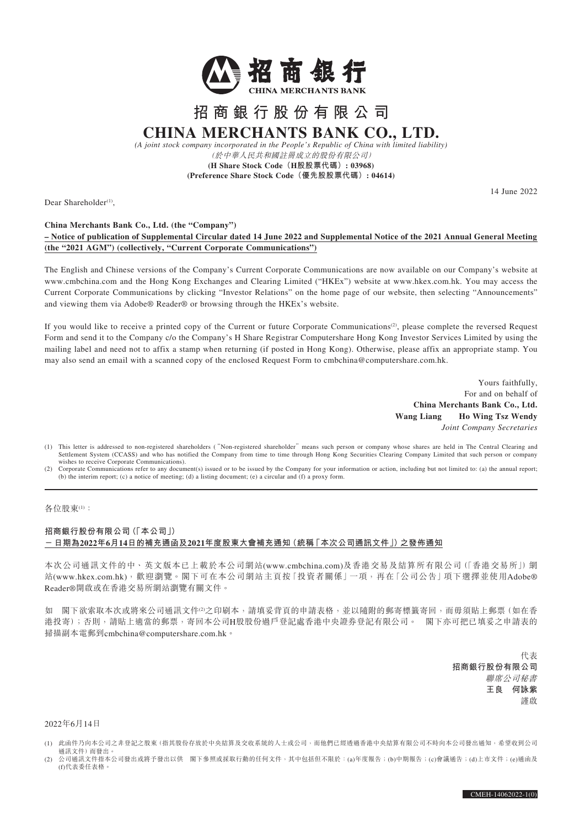

# **招商銀行股份有限公司 CHINA MERCHANTS BANK CO., LTD.**

*(A joint stock company incorporated in the People's Republic of China with limited liability)* (於中華人民共和國註冊成立的股份有限公司)

**(H Share Stock Code(H股股票代碼): 03968) (Preference Share Stock Code(優先股股票代碼): 04614)**

Dear Shareholder<sup>(1)</sup>

14 June 2022

#### **China Merchants Bank Co., Ltd. (the "Company")**

### **– Notice of publication of Supplemental Circular dated 14 June 2022 and Supplemental Notice of the 2021 Annual General Meeting (the "2021 AGM") (collectively, "Current Corporate Communications")**

The English and Chinese versions of the Company's Current Corporate Communications are now available on our Company's website at www.cmbchina.com and the Hong Kong Exchanges and Clearing Limited ("HKEx") website at www.hkex.com.hk. You may access the Current Corporate Communications by clicking "Investor Relations" on the home page of our website, then selecting "Announcements" and viewing them via Adobe® Reader® or browsing through the HKEx's website.

If you would like to receive a printed copy of the Current or future Corporate Communications<sup>(2)</sup>, please complete the reversed Request Form and send it to the Company c/o the Company's H Share Registrar Computershare Hong Kong Investor Services Limited by using the mailing label and need not to affix a stamp when returning (if posted in Hong Kong). Otherwise, please affix an appropriate stamp. You may also send an email with a scanned copy of the enclosed Request Form to cmbchina@computershare.com.hk.

> Yours faithfully, For and on behalf of **China Merchants Bank Co., Ltd. Wang Liang Ho Wing Tsz Wendy** *Joint Company Secretaries*

- (1) This letter is addressed to non-registered shareholders ("Non-registered shareholder" means such person or company whose shares are held in The Central Clearing and Settlement System (CCASS) and who has notified the Company from time to time through Hong Kong Securities Clearing Company Limited that such person or company wishes to receive Corporate Communications).
- (2) Corporate Communications refer to any document(s) issued or to be issued by the Company for your information or action, including but not limited to: (a) the annual report; (b) the interim report; (c) a notice of meeting; (d) a listing document; (e) a circular and (f) a proxy form.

#### 各位股東(1):

### **招商銀行股份有限公司(「本公司」) -日期為2022年6月14日的補充通函及2021年度股東大會補充通知(統稱「本次公司通訊文件」)之發佈通知**

本次公司通訊文件的中、英文版本已上載於本公司網站(www.cmbchina.com)及香港交易及結算所有限公司(「香港交易所」)網 站(www.hkex.com.hk),歡迎瀏覽。閣下可在本公司網站主百按「投資者關係」一項,再在「公司公告」項下選擇並使用Adobe® Reader®開啟或在香港交易所網站瀏覽有關文件。

如 閣下欲索取本次或將來公司通訊文件2之印刷本,請填妥背頁的申請表格,並以隨附的郵寄標籤寄回,而毋須貼上郵票(如在香 港投寄);否則,請貼上適當的郵票,寄回本公司H股股份過戶登記處香港中央證券登記有限公司。 閣下亦可把已填妥之申請表的 掃描副本電郵到cmbchina@computershare.com.hk。

> 代表 **招商銀行股份有限公司** 聯席公司秘書 **王良 何詠紫** 謹啟

#### 2022年6月14日

- (1) 此函件乃向本公司之非登記之股東(指其股份存放於中央結算及交收系統的人士或公司,而他們已經透過香港中央結算有限公司不時向本公司發出通知,希望收到公司 通訊文件)而發出。
- (2) 公司通訊文件指本公司發出或將予發出以供 閣下參照或採取行動的任何文件,其中包括但不限於:(a)年度報告;(b)中期報告;(c)會議通告;(d)上市文件;(e)通函及 (f)代表委任表格。